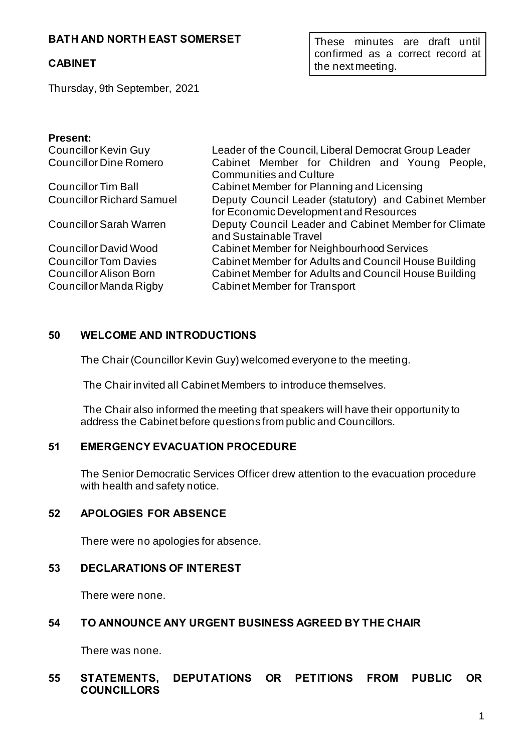## **BATH AND NORTH EAST SOMERSET**

### **CABINET**

These minutes are draft until confirmed as a correct record at the next meeting.

Thursday, 9th September, 2021

#### **Present:**

| <b>Councillor Kevin Guy</b>      | Leader of the Council, Liberal Democrat Group Leader |
|----------------------------------|------------------------------------------------------|
| <b>Councillor Dine Romero</b>    | Cabinet Member for Children and Young People,        |
|                                  | <b>Communities and Culture</b>                       |
| <b>Councillor Tim Ball</b>       | Cabinet Member for Planning and Licensing            |
| <b>Councillor Richard Samuel</b> | Deputy Council Leader (statutory) and Cabinet Member |
|                                  | for Economic Development and Resources               |
| <b>Councillor Sarah Warren</b>   | Deputy Council Leader and Cabinet Member for Climate |
|                                  | and Sustainable Travel                               |
| <b>Councillor David Wood</b>     | Cabinet Member for Neighbourhood Services            |
| <b>Councillor Tom Davies</b>     | Cabinet Member for Adults and Council House Building |
| <b>Councillor Alison Born</b>    | Cabinet Member for Adults and Council House Building |
| Councillor Manda Rigby           | <b>Cabinet Member for Transport</b>                  |
|                                  |                                                      |

#### **50 WELCOME AND INTRODUCTIONS**

The Chair (Councillor Kevin Guy) welcomed everyone to the meeting.

The Chair invited all Cabinet Members to introduce themselves.

The Chair also informed the meeting that speakers will have their opportunity to address the Cabinet before questions from public and Councillors.

### **51 EMERGENCY EVACUATION PROCEDURE**

The Senior Democratic Services Officer drew attention to the evacuation procedure with health and safety notice.

#### **52 APOLOGIES FOR ABSENCE**

There were no apologies for absence.

#### **53 DECLARATIONS OF INTEREST**

There were none.

### **54 TO ANNOUNCE ANY URGENT BUSINESS AGREED BY THE CHAIR**

There was none.

### **55 STATEMENTS, DEPUTATIONS OR PETITIONS FROM PUBLIC OR COUNCILLORS**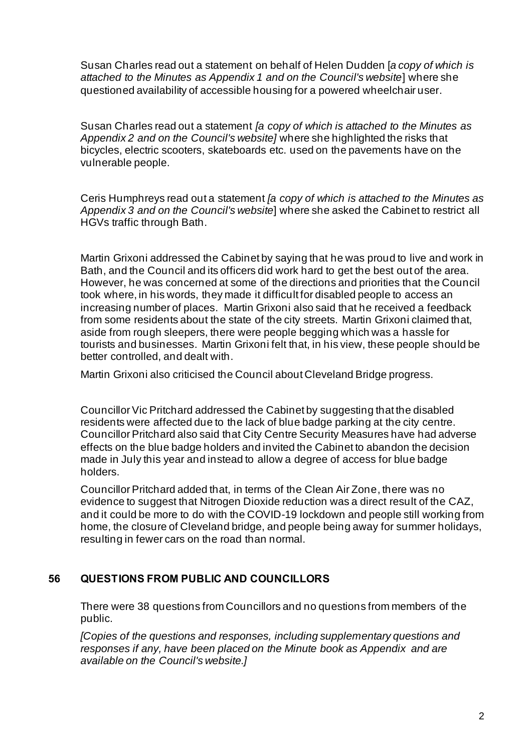Susan Charles read out a statement on behalf of Helen Dudden [*a copy of which is attached to the Minutes as Appendix 1 and on the Council's website*] where she questioned availability of accessible housing for a powered wheelchair user.

Susan Charles read out a statement *[a copy of which is attached to the Minutes as Appendix 2 and on the Council's website]* where she highlighted the risks that bicycles, electric scooters, skateboards etc. used on the pavements have on the vulnerable people.

Ceris Humphreys read out a statement *[a copy of which is attached to the Minutes as Appendix 3 and on the Council's website*] where she asked the Cabinet to restrict all HGVs traffic through Bath.

Martin Grixoni addressed the Cabinet by saying that he was proud to live and work in Bath, and the Council and its officers did work hard to get the best out of the area. However, he was concerned at some of the directions and priorities that the Council took where, in his words, they made it difficult for disabled people to access an increasing number of places. Martin Grixoni also said that he received a feedback from some residents about the state of the city streets. Martin Grixoni claimed that, aside from rough sleepers, there were people begging which was a hassle for tourists and businesses. Martin Grixoni felt that, in his view, these people should be better controlled, and dealt with.

Martin Grixoni also criticised the Council about Cleveland Bridge progress.

Councillor Vic Pritchard addressed the Cabinet by suggesting that the disabled residents were affected due to the lack of blue badge parking at the city centre. Councillor Pritchard also said that City Centre Security Measures have had adverse effects on the blue badge holders and invited the Cabinet to abandon the decision made in July this year and instead to allow a degree of access for blue badge holders.

Councillor Pritchard added that, in terms of the Clean Air Zone, there was no evidence to suggest that Nitrogen Dioxide reduction was a direct result of the CAZ, and it could be more to do with the COVID-19 lockdown and people still working from home, the closure of Cleveland bridge, and people being away for summer holidays, resulting in fewer cars on the road than normal.

## **56 QUESTIONS FROM PUBLIC AND COUNCILLORS**

There were 38 questions from Councillors and no questions from members of the public.

*[Copies of the questions and responses, including supplementary questions and responses if any, have been placed on the Minute book as Appendix and are available on the Council's website.]*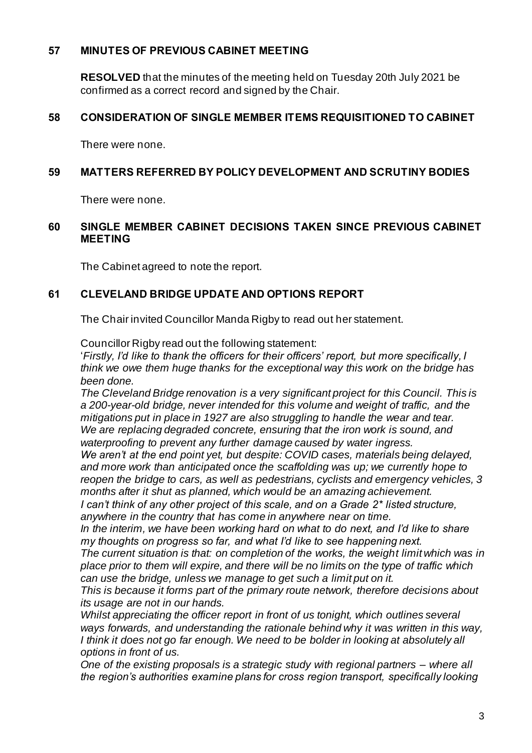## **57 MINUTES OF PREVIOUS CABINET MEETING**

**RESOLVED** that the minutes of the meeting held on Tuesday 20th July 2021 be confirmed as a correct record and signed by the Chair.

## **58 CONSIDERATION OF SINGLE MEMBER ITEMS REQUISITIONED TO CABINET**

There were none.

#### **59 MATTERS REFERRED BY POLICY DEVELOPMENT AND SCRUTINY BODIES**

There were none.

#### **60 SINGLE MEMBER CABINET DECISIONS TAKEN SINCE PREVIOUS CABINET MEETING**

The Cabinet agreed to note the report.

## **61 CLEVELAND BRIDGE UPDATE AND OPTIONS REPORT**

The Chair invited Councillor Manda Rigby to read out her statement.

Councillor Rigby read out the following statement:

'*Firstly, I'd like to thank the officers for their officers' report, but more specifically, I think we owe them huge thanks for the exceptional way this work on the bridge has been done.*

*The Cleveland Bridge renovation is a very significant project for this Council. This is a 200-year-old bridge, never intended for this volume and weight of traffic, and the mitigations put in place in 1927 are also struggling to handle the wear and tear.*  We are replacing degraded concrete, ensuring that the iron work is sound, and *waterproofing to prevent any further damage caused by water ingress.*

*We aren't at the end point yet, but despite: COVID cases, materials being delayed, and more work than anticipated once the scaffolding was up; we currently hope to reopen the bridge to cars, as well as pedestrians, cyclists and emergency vehicles, 3 months after it shut as planned, which would be an amazing achievement.* 

*I can't think of any other project of this scale, and on a Grade 2\* listed structure, anywhere in the country that has come in anywhere near on time.* 

*In the interim, we have been working hard on what to do next, and I'd like to share my thoughts on progress so far, and what I'd like to see happening next.* 

*The current situation is that: on completion of the works, the weight limit which was in place prior to them will expire, and there will be no limits on the type of traffic which can use the bridge, unless we manage to get such a limit put on it.* 

*This is because it forms part of the primary route network, therefore decisions about its usage are not in our hands.*

*Whilst appreciating the officer report in front of us tonight, which outlines several*  ways forwards, and understanding the rationale behind why it was written in this way, *I think it does not go far enough. We need to be bolder in looking at absolutely all options in front of us.*

*One of the existing proposals is a strategic study with regional partners – where all the region's authorities examine plans for cross region transport, specifically looking*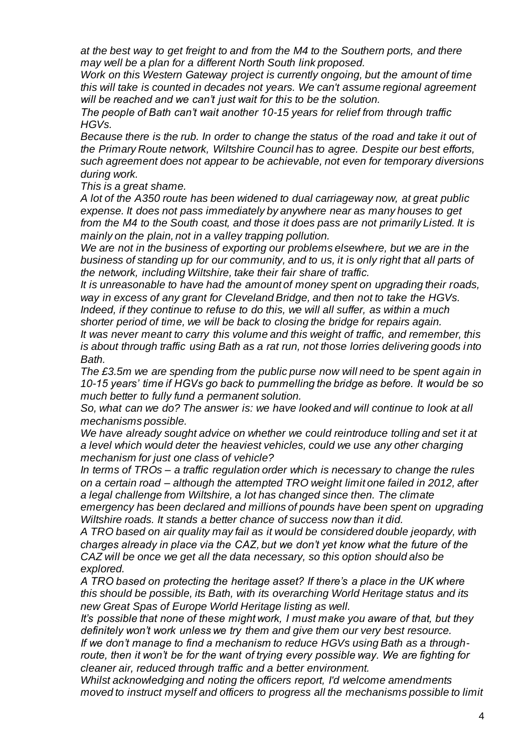*at the best way to get freight to and from the M4 to the Southern ports, and there may well be a plan for a different North South link proposed.* 

*Work on this Western Gateway project is currently ongoing, but the amount of time this will take is counted in decades not years. We can't assume regional agreement will be reached and we can't just wait for this to be the solution.* 

*The people of Bath can't wait another 10-15 years for relief from through traffic HGVs.*

*Because there is the rub. In order to change the status of the road and take it out of the Primary Route network, Wiltshire Council has to agree. Despite our best efforts, such agreement does not appear to be achievable, not even for temporary diversions during work.* 

*This is a great shame.* 

*A lot of the A350 route has been widened to dual carriageway now, at great public expense. It does not pass immediately by anywhere near as many houses to get from the M4 to the South coast, and those it does pass are not primarily Listed. It is mainly on the plain, not in a valley trapping pollution.* 

*We are not in the business of exporting our problems elsewhere, but we are in the business of standing up for our community, and to us, it is only right that all parts of the network, including Wiltshire, take their fair share of traffic.*

*It is unreasonable to have had the amount of money spent on upgrading their roads, way in excess of any grant for Cleveland Bridge, and then not to take the HGVs. Indeed, if they continue to refuse to do this, we will all suffer, as within a much shorter period of time, we will be back to closing the bridge for repairs again.* 

*It was never meant to carry this volume and this weight of traffic, and remember, this is about through traffic using Bath as a rat run, not those lorries delivering goods into Bath.*

*The £3.5m we are spending from the public purse now will need to be spent again in 10-15 years' time if HGVs go back to pummelling the bridge as before. It would be so much better to fully fund a permanent solution.*

*So, what can we do? The answer is: we have looked and will continue to look at all mechanisms possible.* 

We have already sought advice on whether we could reintroduce tolling and set it at *a level which would deter the heaviest vehicles, could we use any other charging mechanism for just one class of vehicle?* 

*In terms of TROs – a traffic regulation order which is necessary to change the rules on a certain road – although the attempted TRO weight limit one failed in 2012, after a legal challenge from Wiltshire, a lot has changed since then. The climate emergency has been declared and millions of pounds have been spent on upgrading* 

*Wiltshire roads. It stands a better chance of success now than it did. A TRO based on air quality may fail as it would be considered double jeopardy, with charges already in place via the CAZ, but we don't yet know what the future of the CAZ will be once we get all the data necessary, so this option should also be* 

*explored.*

*A TRO based on protecting the heritage asset? If there's a place in the UK where this should be possible, its Bath, with its overarching World Heritage status and its new Great Spas of Europe World Heritage listing as well.*

*It's possible that none of these might work, I must make you aware of that, but they definitely won't work unless we try them and give them our very best resource. If we don't manage to find a mechanism to reduce HGVs using Bath as a through-*

*route, then it won't be for the want of trying every possible way. We are fighting for cleaner air, reduced through traffic and a better environment.*

*Whilst acknowledging and noting the officers report, I'd welcome amendments moved to instruct myself and officers to progress all the mechanisms possible to limit*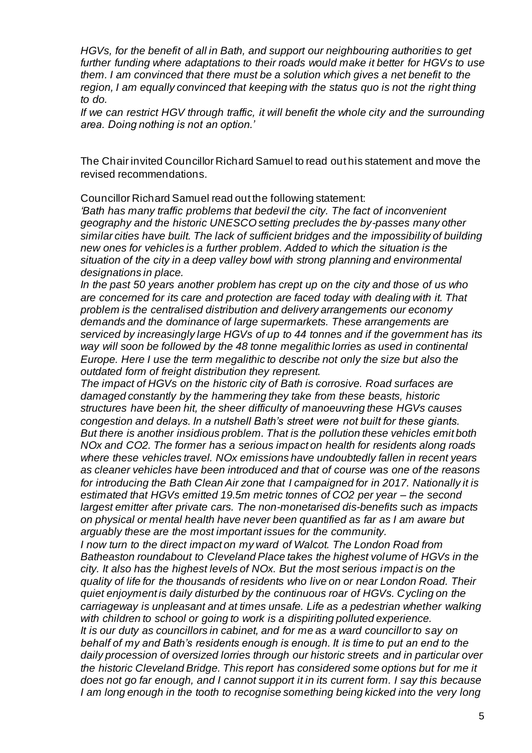*HGVs, for the benefit of all in Bath, and support our neighbouring authorities to get further funding where adaptations to their roads would make it better for HGVs to use them. I am convinced that there must be a solution which gives a net benefit to the region, I am equally convinced that keeping with the status quo is not the right thing to do.*

*If we can restrict HGV through traffic, it will benefit the whole city and the surrounding area. Doing nothing is not an option.'*

The Chair invited Councillor Richard Samuel to read out his statement and move the revised recommendations.

Councillor Richard Samuel read out the following statement:

*'Bath has many traffic problems that bedevil the city. The fact of inconvenient geography and the historic UNESCO setting precludes the by-passes many other similar cities have built. The lack of sufficient bridges and the impossibility of building new ones for vehicles is a further problem. Added to which the situation is the situation of the city in a deep valley bowl with strong planning and environmental designations in place.*

*In the past 50 years another problem has crept up on the city and those of us who are concerned for its care and protection are faced today with dealing with it. That problem is the centralised distribution and delivery arrangements our economy demands and the dominance of large supermarkets. These arrangements are serviced by increasingly large HGVs of up to 44 tonnes and if the government has its*  way will soon be followed by the 48 tonne megalithic lorries as used in continental *Europe. Here I use the term megalithic to describe not only the size but also the outdated form of freight distribution they represent.*

*The impact of HGVs on the historic city of Bath is corrosive. Road surfaces are damaged constantly by the hammering they take from these beasts, historic structures have been hit, the sheer difficulty of manoeuvring these HGVs causes congestion and delays. In a nutshell Bath's street were not built for these giants. But there is another insidious problem. That is the pollution these vehicles emit both NOx and CO2. The former has a serious impact on health for residents along roads where these vehicles travel. NOx emissions have undoubtedly fallen in recent years as cleaner vehicles have been introduced and that of course was one of the reasons for introducing the Bath Clean Air zone that I campaigned for in 2017. Nationally it is estimated that HGVs emitted 19.5m metric tonnes of CO2 per year – the second largest emitter after private cars. The non-monetarised dis-benefits such as impacts on physical or mental health have never been quantified as far as I am aware but arguably these are the most important issues for the community.* 

*I now turn to the direct impact on my ward of Walcot. The London Road from Batheaston roundabout to Cleveland Place takes the highest volume of HGVs in the city. It also has the highest levels of NOx. But the most serious impact is on the quality of life for the thousands of residents who live on or near London Road. Their quiet enjoyment is daily disturbed by the continuous roar of HGVs. Cycling on the carriageway is unpleasant and at times unsafe. Life as a pedestrian whether walking with children to school or going to work is a dispiriting polluted experience. It is our duty as councillors in cabinet, and for me as a ward councillor to say on behalf of my and Bath's residents enough is enough. It is time to put an end to the daily procession of oversized lorries through our historic streets and in particular over the historic Cleveland Bridge. This report has considered some options but for me it does not go far enough, and I cannot support it in its current form. I say this because I* am long enough in the tooth to recognise something being kicked into the very long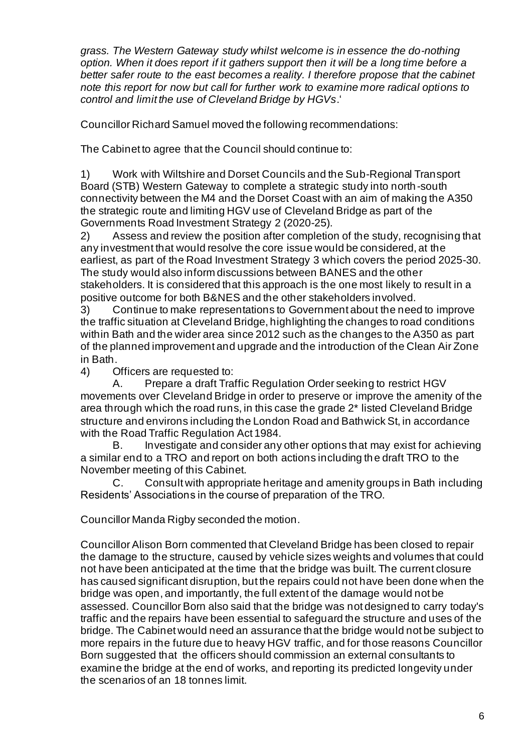*grass. The Western Gateway study whilst welcome is in essence the do-nothing option. When it does report if it gathers support then it will be a long time before a better safer route to the east becomes a reality. I therefore propose that the cabinet note this report for now but call for further work to examine more radical options to control and limit the use of Cleveland Bridge by HGVs*.'

Councillor Richard Samuel moved the following recommendations:

The Cabinet to agree that the Council should continue to:

1) Work with Wiltshire and Dorset Councils and the Sub-Regional Transport Board (STB) Western Gateway to complete a strategic study into north-south connectivity between the M4 and the Dorset Coast with an aim of making the A350 the strategic route and limiting HGV use of Cleveland Bridge as part of the Governments Road Investment Strategy 2 (2020-25).

2) Assess and review the position after completion of the study, recognising that any investment that would resolve the core issue would be considered, at the earliest, as part of the Road Investment Strategy 3 which covers the period 2025-30. The study would also inform discussions between BANES and the other stakeholders. It is considered that this approach is the one most likely to result in a positive outcome for both B&NES and the other stakeholders involved.

3) Continue to make representations to Government about the need to improve the traffic situation at Cleveland Bridge, highlighting the changes to road conditions within Bath and the wider area since 2012 such as the changes to the A350 as part of the planned improvement and upgrade and the introduction of the Clean Air Zone in Bath.

4) Officers are requested to:

A. Prepare a draft Traffic Regulation Order seeking to restrict HGV movements over Cleveland Bridge in order to preserve or improve the amenity of the area through which the road runs, in this case the grade 2\* listed Cleveland Bridge structure and environs including the London Road and Bathwick St, in accordance with the Road Traffic Regulation Act 1984.

B. Investigate and consider any other options that may exist for achieving a similar end to a TRO and report on both actions including the draft TRO to the November meeting of this Cabinet.

C. Consult with appropriate heritage and amenity groups in Bath including Residents' Associations in the course of preparation of the TRO.

Councillor Manda Rigby seconded the motion.

Councillor Alison Born commented that Cleveland Bridge has been closed to repair the damage to the structure, caused by vehicle sizes weights and volumes that could not have been anticipated at the time that the bridge was built. The current closure has caused significant disruption, but the repairs could not have been done when the bridge was open, and importantly, the full extent of the damage would not be assessed. Councillor Born also said that the bridge was not designed to carry today's traffic and the repairs have been essential to safeguard the structure and uses of the bridge. The Cabinet would need an assurance that the bridge would not be subject to more repairs in the future due to heavy HGV traffic, and for those reasons Councillor Born suggested that the officers should commission an external consultants to examine the bridge at the end of works, and reporting its predicted longevity under the scenarios of an 18 tonnes limit.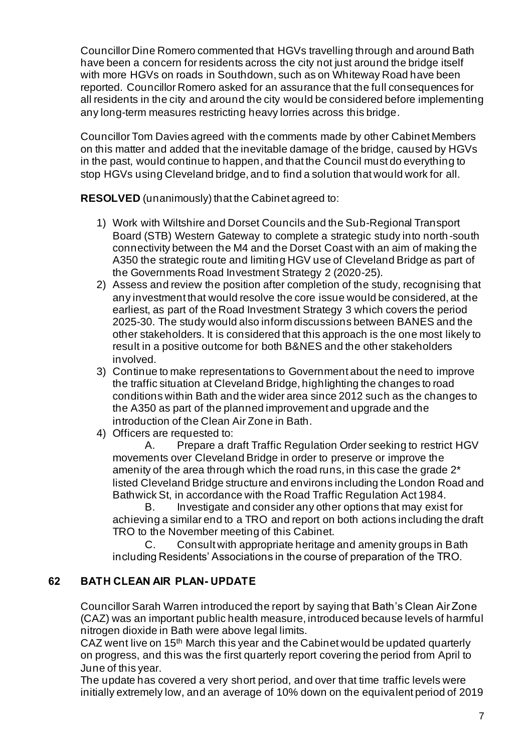Councillor Dine Romero commented that HGVs travelling through and around Bath have been a concern for residents across the city not just around the bridge itself with more HGVs on roads in Southdown, such as on Whiteway Road have been reported. Councillor Romero asked for an assurance that the full consequences for all residents in the city and around the city would be considered before implementing any long-term measures restricting heavy lorries across this bridge.

Councillor Tom Davies agreed with the comments made by other Cabinet Members on this matter and added that the inevitable damage of the bridge, caused by HGVs in the past, would continue to happen, and that the Council must do everything to stop HGVs using Cleveland bridge, and to find a solution that would work for all.

**RESOLVED** (unanimously) that the Cabinet agreed to:

- 1) Work with Wiltshire and Dorset Councils and the Sub-Regional Transport Board (STB) Western Gateway to complete a strategic study into north-south connectivity between the M4 and the Dorset Coast with an aim of making the A350 the strategic route and limiting HGV use of Cleveland Bridge as part of the Governments Road Investment Strategy 2 (2020-25).
- 2) Assess and review the position after completion of the study, recognising that any investment that would resolve the core issue would be considered, at the earliest, as part of the Road Investment Strategy 3 which covers the period 2025-30. The study would also inform discussions between BANES and the other stakeholders. It is considered that this approach is the one most likely to result in a positive outcome for both B&NES and the other stakeholders involved.
- 3) Continue to make representations to Government about the need to improve the traffic situation at Cleveland Bridge, highlighting the changes to road conditions within Bath and the wider area since 2012 such as the changes to the A350 as part of the planned improvement and upgrade and the introduction of the Clean Air Zone in Bath.
- 4) Officers are requested to:

A. Prepare a draft Traffic Regulation Order seeking to restrict HGV movements over Cleveland Bridge in order to preserve or improve the amenity of the area through which the road runs, in this case the grade 2\* listed Cleveland Bridge structure and environs including the London Road and Bathwick St, in accordance with the Road Traffic Regulation Act 1984.

B. Investigate and consider any other options that may exist for achieving a similar end to a TRO and report on both actions including the draft TRO to the November meeting of this Cabinet.

C. Consult with appropriate heritage and amenity groups in Bath including Residents' Associations in the course of preparation of the TRO.

# **62 BATH CLEAN AIR PLAN- UPDATE**

Councillor Sarah Warren introduced the report by saying that Bath's Clean Air Zone (CAZ) was an important public health measure, introduced because levels of harmful nitrogen dioxide in Bath were above legal limits.

CAZ went live on 15<sup>th</sup> March this year and the Cabinet would be updated quarterly on progress, and this was the first quarterly report covering the period from April to June of this year.

The update has covered a very short period, and over that time traffic levels were initially extremely low, and an average of 10% down on the equivalent period of 2019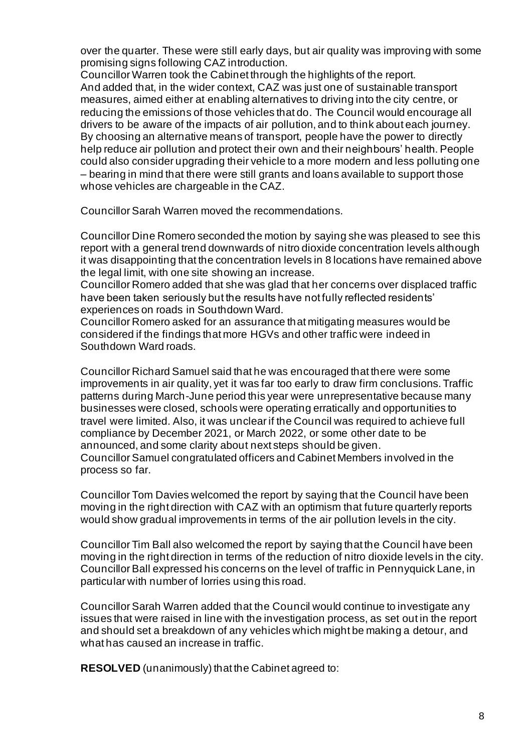over the quarter. These were still early days, but air quality was improving with some promising signs following CAZ introduction.

Councillor Warren took the Cabinet through the highlights of the report. And added that, in the wider context, CAZ was just one of sustainable transport measures, aimed either at enabling alternatives to driving into the city centre, or reducing the emissions of those vehicles that do. The Council would encourage all drivers to be aware of the impacts of air pollution, and to think about each journey. By choosing an alternative means of transport, people have the power to directly help reduce air pollution and protect their own and their neighbours' health. People could also consider upgrading their vehicle to a more modern and less polluting one – bearing in mind that there were still grants and loans available to support those whose vehicles are chargeable in the CAZ.

Councillor Sarah Warren moved the recommendations.

Councillor Dine Romero seconded the motion by saying she was pleased to see this report with a general trend downwards of nitro dioxide concentration levels although it was disappointing that the concentration levels in 8 locations have remained above the legal limit, with one site showing an increase.

Councillor Romero added that she was glad that her concerns over displaced traffic have been taken seriously but the results have not fully reflected residents' experiences on roads in Southdown Ward.

Councillor Romero asked for an assurance that mitigating measures would be considered if the findings that more HGVs and other traffic were indeed in Southdown Ward roads.

Councillor Richard Samuel said that he was encouraged that there were some improvements in air quality, yet it was far too early to draw firm conclusions. Traffic patterns during March-June period this year were unrepresentative because many businesses were closed, schools were operating erratically and opportunities to travel were limited. Also, it was unclear if the Council was required to achieve full compliance by December 2021, or March 2022, or some other date to be announced, and some clarity about next steps should be given. Councillor Samuel congratulated officers and Cabinet Members involved in the process so far.

Councillor Tom Davies welcomed the report by saying that the Council have been moving in the right direction with CAZ with an optimism that future quarterly reports would show gradual improvements in terms of the air pollution levels in the city.

Councillor Tim Ball also welcomed the report by saying that the Council have been moving in the right direction in terms of the reduction of nitro dioxide levels in the city. Councillor Ball expressed his concerns on the level of traffic in Pennyquick Lane, in particular with number of lorries using this road.

Councillor Sarah Warren added that the Council would continue to investigate any issues that were raised in line with the investigation process, as set out in the report and should set a breakdown of any vehicles which might be making a detour, and what has caused an increase in traffic.

**RESOLVED** (unanimously) that the Cabinet agreed to: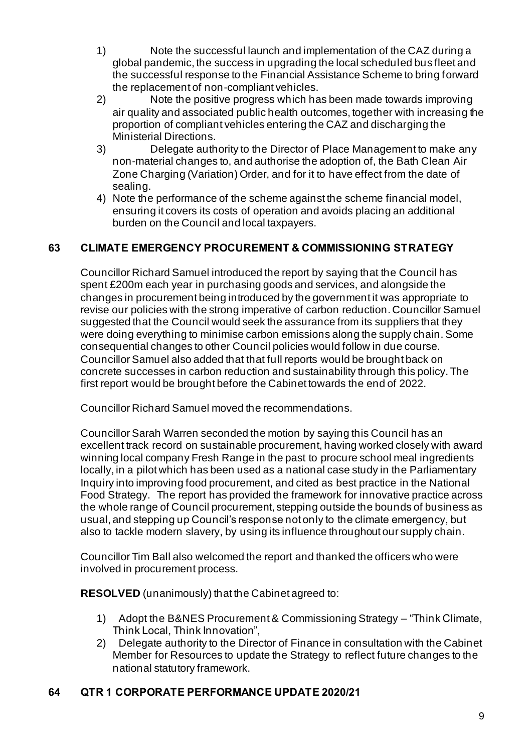- 1) Note the successful launch and implementation of the CAZ during a global pandemic, the success in upgrading the local scheduled bus fleet and the successful response to the Financial Assistance Scheme to bring forward the replacement of non-compliant vehicles.
- 2) Note the positive progress which has been made towards improving air quality and associated public health outcomes, together with increasing the proportion of compliant vehicles entering the CAZ and discharging the Ministerial Directions.
- 3) Delegate authority to the Director of Place Management to make any non-material changes to, and authorise the adoption of, the Bath Clean Air Zone Charging (Variation) Order, and for it to have effect from the date of sealing.
- 4) Note the performance of the scheme against the scheme financial model, ensuring it covers its costs of operation and avoids placing an additional burden on the Council and local taxpayers.

# **63 CLIMATE EMERGENCY PROCUREMENT & COMMISSIONING STRATEGY**

Councillor Richard Samuel introduced the report by saying that the Council has spent £200m each year in purchasing goods and services, and alongside the changes in procurement being introduced by the government it was appropriate to revise our policies with the strong imperative of carbon reduction. Councillor Samuel suggested that the Council would seek the assurance from its suppliers that they were doing everything to minimise carbon emissions along the supply chain. Some consequential changes to other Council policies would follow in due course. Councillor Samuel also added that that full reports would be brought back on concrete successes in carbon reduction and sustainability through this policy. The first report would be brought before the Cabinet towards the end of 2022.

Councillor Richard Samuel moved the recommendations.

Councillor Sarah Warren seconded the motion by saying this Council has an excellent track record on sustainable procurement, having worked closely with award winning local company Fresh Range in the past to procure school meal ingredients locally, in a pilot which has been used as a national case study in the Parliamentary Inquiry into improving food procurement, and cited as best practice in the National Food Strategy. The report has provided the framework for innovative practice across the whole range of Council procurement, stepping outside the bounds of business as usual, and stepping up Council's response not only to the climate emergency, but also to tackle modern slavery, by using its influence throughout our supply chain.

Councillor Tim Ball also welcomed the report and thanked the officers who were involved in procurement process.

**RESOLVED** (unanimously) that the Cabinet agreed to:

- 1) Adopt the B&NES Procurement & Commissioning Strategy "Think Climate, Think Local, Think Innovation",
- 2) Delegate authority to the Director of Finance in consultation with the Cabinet Member for Resources to update the Strategy to reflect future changes to the national statutory framework.

## **64 QTR 1 CORPORATE PERFORMANCE UPDATE 2020/21**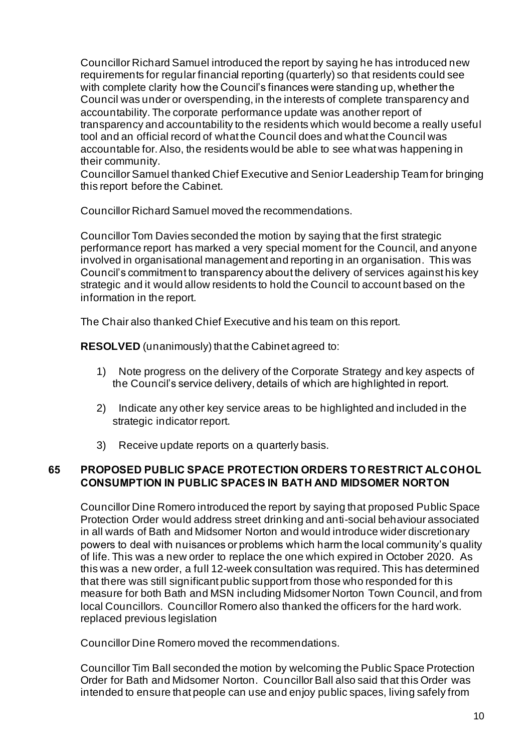Councillor Richard Samuel introduced the report by saying he has introduced new requirements for regular financial reporting (quarterly) so that residents could see with complete clarity how the Council's finances were standing up, whether the Council was under or overspending, in the interests of complete transparency and accountability. The corporate performance update was another report of transparency and accountability to the residents which would become a really useful tool and an official record of what the Council does and what the Council was accountable for. Also, the residents would be able to see what was happening in their community.

Councillor Samuel thanked Chief Executive and Senior Leadership Team for bringing this report before the Cabinet.

Councillor Richard Samuel moved the recommendations.

Councillor Tom Davies seconded the motion by saying that the first strategic performance report has marked a very special moment for the Council, and anyone involved in organisational management and reporting in an organisation. This was Council's commitment to transparency about the delivery of services against his key strategic and it would allow residents to hold the Council to account based on the information in the report.

The Chair also thanked Chief Executive and his team on this report.

**RESOLVED** (unanimously) that the Cabinet agreed to:

- 1) Note progress on the delivery of the Corporate Strategy and key aspects of the Council's service delivery, details of which are highlighted in report.
- 2) Indicate any other key service areas to be highlighted and included in the strategic indicator report.
- 3) Receive update reports on a quarterly basis.

## **65 PROPOSED PUBLIC SPACE PROTECTION ORDERS TO RESTRICT ALCOHOL CONSUMPTION IN PUBLIC SPACES IN BATH AND MIDSOMER NORTON**

Councillor Dine Romero introduced the report by saying that proposed Public Space Protection Order would address street drinking and anti-social behaviour associated in all wards of Bath and Midsomer Norton and would introduce wider discretionary powers to deal with nuisances or problems which harm the local community's quality of life. This was a new order to replace the one which expired in October 2020. As this was a new order, a full 12-week consultation was required. This has determined that there was still significant public support from those who responded for th is measure for both Bath and MSN including Midsomer Norton Town Council, and from local Councillors. Councillor Romero also thanked the officers for the hard work. replaced previous legislation

Councillor Dine Romero moved the recommendations.

Councillor Tim Ball seconded the motion by welcoming the Public Space Protection Order for Bath and Midsomer Norton. Councillor Ball also said that this Order was intended to ensure that people can use and enjoy public spaces, living safely from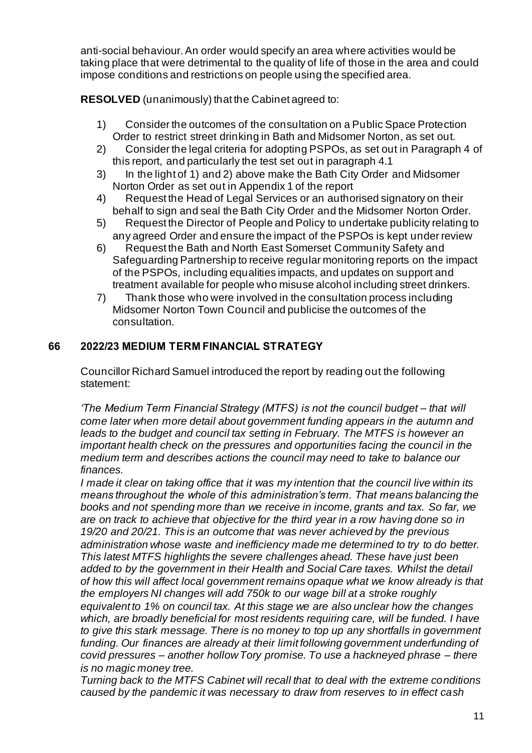anti-social behaviour. An order would specify an area where activities would be taking place that were detrimental to the quality of life of those in the area and could impose conditions and restrictions on people using the specified area.

**RESOLVED** (unanimously) that the Cabinet agreed to:

- 1) Consider the outcomes of the consultation on a Public Space Protection Order to restrict street drinking in Bath and Midsomer Norton, as set out.
- 2) Consider the legal criteria for adopting PSPOs, as set out in Paragraph 4 of this report, and particularly the test set out in paragraph 4.1
- 3) In the light of 1) and 2) above make the Bath City Order and Midsomer Norton Order as set out in Appendix 1 of the report
- 4) Request the Head of Legal Services or an authorised signatory on their behalf to sign and seal the Bath City Order and the Midsomer Norton Order.
- 5) Request the Director of People and Policy to undertake publicity relating to any agreed Order and ensure the impact of the PSPOs is kept under review
- 6) Request the Bath and North East Somerset Community Safety and Safeguarding Partnership to receive regular monitoring reports on the impact of the PSPOs, including equalities impacts, and updates on support and treatment available for people who misuse alcohol including street drinkers.
- 7) Thank those who were involved in the consultation process including Midsomer Norton Town Council and publicise the outcomes of the consultation.

## **66 2022/23 MEDIUM TERM FINANCIAL STRATEGY**

Councillor Richard Samuel introduced the report by reading out the following statement:

*'The Medium Term Financial Strategy (MTFS) is not the council budget – that will come later when more detail about government funding appears in the autumn and leads to the budget and council tax setting in February. The MTFS is however an important health check on the pressures and opportunities facing the council in the medium term and describes actions the council may need to take to balance our finances.* 

*I made it clear on taking office that it was my intention that the council live within its means throughout the whole of this administration's term. That means balancing the books and not spending more than we receive in income, grants and tax. So far, we are on track to achieve that objective for the third year in a row having done so in 19/20 and 20/21. This is an outcome that was never achieved by the previous administration whose waste and inefficiency made me determined to try to do better. This latest MTFS highlights the severe challenges ahead. These have just been added to by the government in their Health and Social Care taxes. Whilst the detail of how this will affect local government remains opaque what we know already is that the employers NI changes will add 750k to our wage bill at a stroke roughly equivalent to 1% on council tax. At this stage we are also unclear how the changes which, are broadly beneficial for most residents requiring care, will be funded. I have to give this stark message. There is no money to top up any shortfalls in government funding. Our finances are already at their limit following government underfunding of covid pressures – another hollow Tory promise. To use a hackneyed phrase – there is no magic money tree.* 

*Turning back to the MTFS Cabinet will recall that to deal with the extreme conditions caused by the pandemic it was necessary to draw from reserves to in effect cash*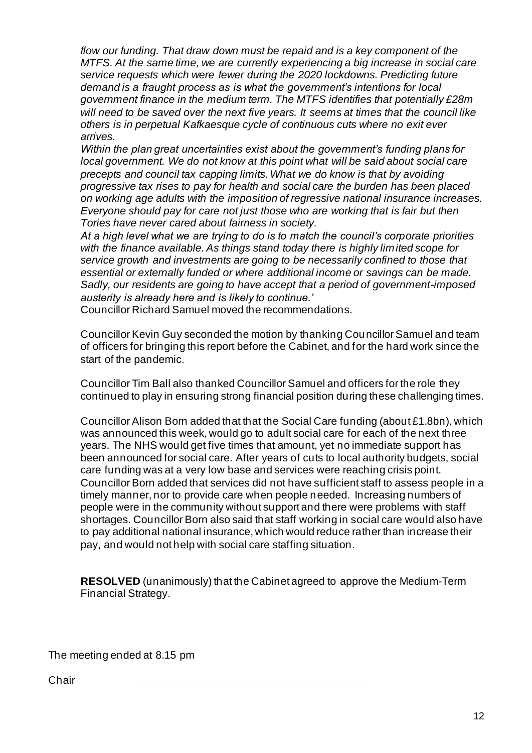*flow our funding. That draw down must be repaid and is a key component of the MTFS. At the same time, we are currently experiencing a big increase in social care service requests which were fewer during the 2020 lockdowns. Predicting future demand is a fraught process as is what the government's intentions for local government finance in the medium term. The MTFS identifies that potentially £28m will need to be saved over the next five years. It seems at times that the council like others is in perpetual Kafkaesque cycle of continuous cuts where no exit ever arrives.*

*Within the plan great uncertainties exist about the government's funding plans for*  local government. We do not know at this point what will be said about social care *precepts and council tax capping limits. What we do know is that by avoiding progressive tax rises to pay for health and social care the burden has been placed on working age adults with the imposition of regressive national insurance increases. Everyone should pay for care not just those who are working that is fair but then Tories have never cared about fairness in society.* 

*At a high level what we are trying to do is to match the council's corporate priorities with the finance available. As things stand today there is highly limited scope for service growth and investments are going to be necessarily confined to those that essential or externally funded or where additional income or savings can be made. Sadly, our residents are going to have accept that a period of government-imposed austerity is already here and is likely to continue.'* 

Councillor Richard Samuel moved the recommendations.

Councillor Kevin Guy seconded the motion by thanking Councillor Samuel and team of officers for bringing this report before the Cabinet, and for the hard work since the start of the pandemic.

Councillor Tim Ball also thanked Councillor Samuel and officers for the role they continued to play in ensuring strong financial position during these challenging times.

Councillor Alison Born added that that the Social Care funding (about £1.8bn), which was announced this week, would go to adult social care for each of the next three years. The NHS would get five times that amount, yet no immediate support has been announced for social care. After years of cuts to local authority budgets, social care funding was at a very low base and services were reaching crisis point. Councillor Born added that services did not have sufficient staff to assess people in a timely manner, nor to provide care when people needed. Increasing numbers of people were in the community without support and there were problems with staff shortages. Councillor Born also said that staff working in social care would also have to pay additional national insurance, which would reduce rather than increase their pay, and would not help with social care staffing situation.

**RESOLVED** (unanimously) that the Cabinet agreed to approve the Medium-Term Financial Strategy.

The meeting ended at 8.15 pm

**Chair**